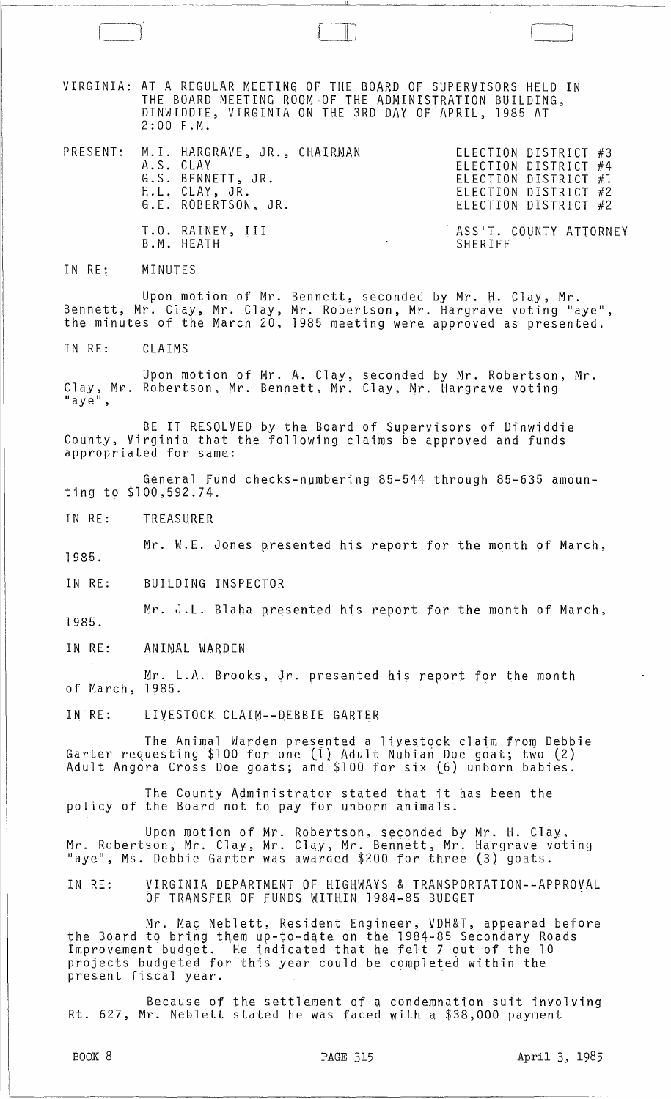VIRGINIA: AT A REGULAR MEETING OF THE BOARD OF SUPERVISORS HELD IN THE BOARD MEETING ROOM OF THE ADMINISTRATION BUILDING, DINWIDDIE, VIRGINIA ON THE 3RD DAY Of APRIL, 1985 AT 2:00 P.M.

PRESENT: M. I. HARGRAVE, JR., CHAIRMAN A.S. CLAY ELECTION DISTRICT #3 ELECTION DISTRICT #4 ELECTION DISTRICT #1 ELECTION DISTRICT #2 ELECTION DISTRICT #2 G.S. BENNETT, JR. H.L. CLAY, JR. G.E. ROBERTSON, JR. T.O. RAINEY, III B.M. HEATH ASS'T. COUNTY ATTORNEY SHERIFF

\_J [ J

IN RE: MINUTES

Upon motion of Mr. Bennett, seconded by Mr. H. Clay, Mr. Bennett, Mr. Clay, Mr. Clay, Mr. Robertson, Mr. Hargrave voting "aye", the minutes of the March 20, 1985 meeting were approved as presented.

IN RE: CLAIMS

Upon motion of Mr. A. Clay, seconded by Mr. Robertson, Mr. Clay, Mr. Robertson, Mr. Bennett, Mr. Clay, Mr. Hargrave voting "aye",

BE IT RESOLVED by the Board of Supervisors of Dinwiddie County, Virginia that the following claims be approved and funds appropriated for same:

General Fund checks-numbering 85-544 through 85-635 amounting to \$100,592.74.

IN RE: TREASURER

1985. Mr. W.E. Jones presented his report for the month of March,

IN RE: BUILDING INSPECTOR

1985. Mr. J.L. Blaha presented his report for the month of March,

IN RE: ANIMAL WARDEN

Mr. L.A. Brooks, Jr. presented his report for the month of March, 1985.

IN RE: LIVESTOCK CLAIM--DEBBIE GARTER

The Animal Warden presented a livestock claim from Debbie Garter requesting \$100 for one (ll Adult Nubian Doe goat; two (2) Adult Angora Cross Doe goats; and \$100 for six (6) unborn babies.

The County Administrator stated that it has been the policy of the Board not to pay for unborn animals.

Upon motion of Mr. Robertson, seconded by Mr. H. Clay, Mr. Robertson, Mr. Clay, Mr. Clay, Mr. Bennett, Mr; Hargrave voting "aye", Ms. Debbie Garter was awarded \$200 for three (3) goats.

IN RE: VIRGINIA DEPARTMENT OF HIGHWAYS & TRANSPORTATION--APPROVAL OF TRANSFER OF FUNDS WITHIN 1984-85 BUDGET

Mr. Ma $\rm c$  Neblett, Resident Engineer, VDH&T, appeared before the Board to bring them up-to-date on the 1984-85 Secondary Roads Improvement budget. He indicated that he felt 7 out of the 10 projects budgeted for this year could be completed within the projects budgeted for this year could be complete<br>present fiscal year.

Because of the settlement of a condemnation suit involving Rt. 627, Mr. Neblett stated he was faced with a \$38,000 payment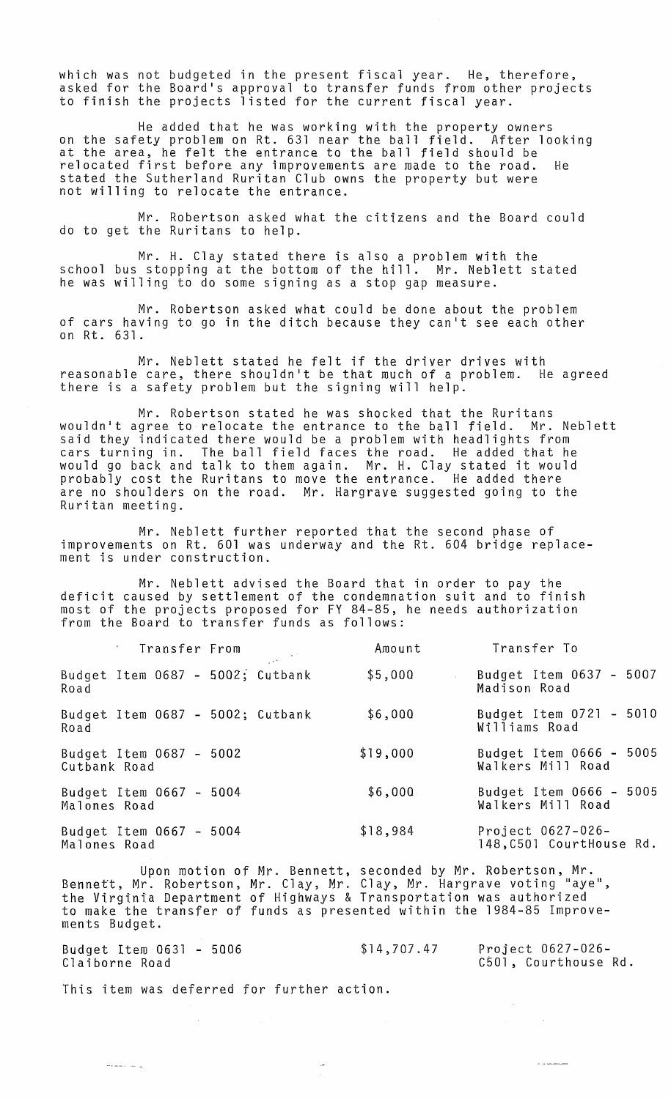which was not budgeted in the present fiscal year. He, therefore, asked for the Board's approval to transfer funds from other projects to finish the projects listed for the current fiscal year.

He added that he was working with the property owners on the safety problem an Rt. 631 near the ball field. After looking at the area, he felt the entrance to the ball field should be relocated first before any improvements are made to the road. He stated the Sutherland Ruritan Club owns the property but were not willing to relocate the entrance.

Mr. Robertson asked what the citizens and the Board could do to get the Ruritans to help.

Mr. H. Clay stated there is also a problem with the school bus stopping at the bottom of the hill. Mr. Neblett stated he was willing to do some signing as a stop gap measure.

Mr. Robertson asked what could be done about the problem of cars having to go in the ditch because they can't see each other on Rt. 631.

Mr. Neblett stated he felt if the driver drives with reasonable care, there shouldn't be that much of a problem. He agreed there is a safety problem but the signing will help.

Mr. Robertson stated he was shocked that the Ruritans wouldn't agree to relocate the entrance to the ball field. Mr. Neblett said they indicated there would be a problem with headlights from cars turning in. The ball field faces the road. He added that he would go back and talk to them again. Mr. H. Clay stated it would probably cost the Ruritans to move the entrance. He added there are no shoulders on the road. Mr. Hargrave suggested going to the Ruritan meeting.

Mr. Neblett further reported that the second phase of improvements on Rt. 601 was underway and the Rt. 604 bridge replacement is under construction.

Mr. Neblett advised the Board that in order to pay the deficit caused by settlement of the condemnation suit and to finish most of the projects proposed for FY 84-85, he needs authorization from the Board to transfer funds as follows:

| Transfer From                               | Amount   | Transfer To                                   |
|---------------------------------------------|----------|-----------------------------------------------|
| Budget Item $0687 - 5002$ ; Cutbank<br>Road | \$5,000  | Budget Item 0637 - 5007<br>Madison Road       |
| Budget Item 0687 - 5002; Cutbank<br>Road    | \$6,000  | Budget Item 0721 - 5010<br>Williams Road      |
| Budget Item 0687 - 5002<br>Cutbank Road     | \$19,000 | Budget Item 0666 - 5005<br>Walkers Mill Road  |
| Budget Item 0667 - 5004<br>Malones Road     | \$6,000  | Budget Item 0666 - 5005<br>Walkers Mill Road  |
| Budget Item $0667 - 5004$<br>Malones Road   | \$18,984 | Project 0627-026-<br>148, C501 CourtHouse Rd. |

Upon motion of Mr. Bennett, seconded by Mr. Robertson, Mr. Bennett, Mr. Robertson, Mr. Clay, Mr. Clay, Mr. Hargrave voting "aye",<br>the Virginia Department of Highways & Transportation was authorized to make the transfer of funds as presented within the 1984-85 Improvements Budget.

Budget Item 0631 - 5006 Claiborne Road \$14,707.47 Project 0627-026- C501, Courthouse Rd.

 $\sim$ 

 $\sim$   $\alpha$ 

This item was deferred for further action.

أياست المستعمر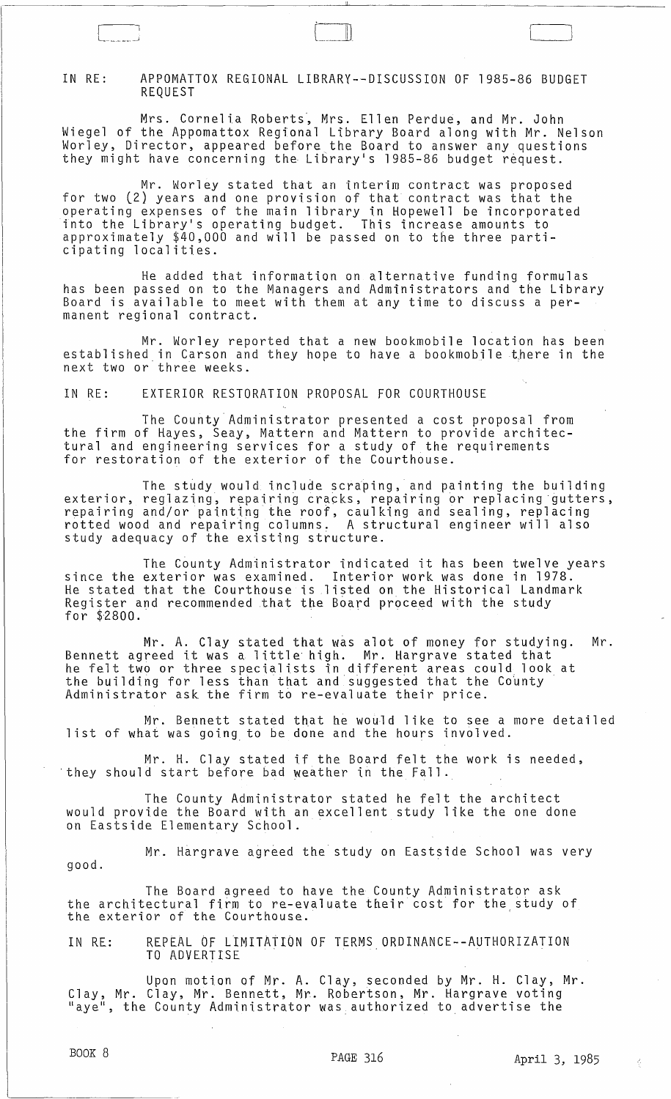## IN RE: APPOMATTOX REGIONAL LIBRARY--DISCUSSION OF 1985-86 BUDGET REQUEST

r L \_\_\_ .. \_\_ .. <sup>~</sup>

Mrs. Cornelia Roberts, Mrs. Ellen Perdue, and Mr. John Wiegel of the Appomattox Regional Library Board along with Mr. Nelson Worley, Director, appeared before the Board to answer any questions they might have concerning the Library's 1985-86 budget request.

Mr. Worley stated that an interim contract was proposed for two (2) years and one provision of that contract was that the operating expenses of the main library in Hopewell be incorporated into the Library's operating budget. This increase amounts to approximately \$40,000 and will be passed on to the three participating localities.

He added that information on alternative funding formulas has been passed on to the Managers and Administrators and the Library Board is available to meet with them at any time to discuss a permanent regional contract.

Mr. Worley reported that a new bookmobile location has been established in Carson and they hope to have a bookmobile there in the next two or three weeks.

IN RE: EXTERIOR RESTORATION PROPOSAL FOR COURTHOUSE

The County Administrator presented a cost proposal from the firm of Hayes, Seay, Mattern and Mattern to provide architectural and engineering services for a study of the requirements for restoration of the exterior of the Courthouse.

The study would include scraping, and painting the building exterior, reglazing, repairing cracks, repairing or replacing gutters,<br>repairing and/or painting the roof, caulking and sealing, replacing rotted wood and repairing columns. A structural engineer will also study adequacy of the existing structure.

The County Administrator indicated it has been twelve years since the exterior was examined. Interior work was done in 1978. He stated that the Courthouse is listed on the Historical Landmark Register and recommended that the Board proceed with the study for \$2800.

Mr. A. Clay stated that was alot of money for studying. Mr. Bennett agreed it was a little high. Mr. Hargrave stated that he felt two or three specialists in different areas could, look at the building for less than that and suggested that the County<br>Administrator ask the firm to re-evaluate their price.

Mr. Bennett stated that he would like to see a more detailed **list of what was going to be done and the hours involved.** 

Mr. H. Clay stated if the Board felt the work is needed, 'they should start before bad weather in the Fall.

The County Administrator stated he felt the architect would provide the Board with an excellent study like the one done on Eastside Elementary School.

Mr. Hargrave agreed the study on Eastside School was very good.

The Board agreed to have the County Administrator ask the architectural firm to re-evaluate their cost for the study of the exterior of the Courthouse.

IN RE: AREPEAL OF LIMITATION OF TERMS ORDINANCE--AUTHORIZATION TO ADVERTISE

Upon motion of Mr. A. Clay, seconded by Mr. H. Clay, Mr. Clay, Mr. Clay, Mr. Bennett, Mr. Robertson, Mr. Hargrave voting eray, mr. cray, mr. Bennett, mr. Robertson, mr. hargrave voting<br>"aye", the County Administrator was authorized to advertise the

 $\begin{pmatrix} \begin{pmatrix} 1 & 1 \\ 1 & 1 \end{pmatrix} \end{pmatrix}$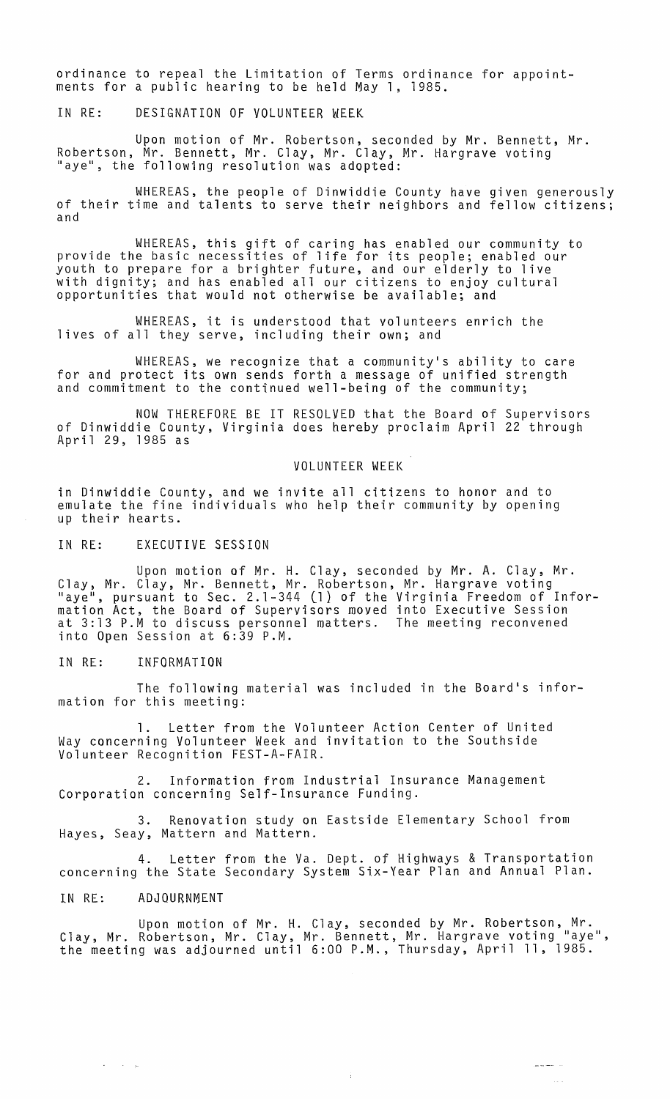ordinance to repeal the Limitation of Terms ordinance for appointments for a public hearing to be held May 1, 1985.

IN RE: DESIGNATION OF VOLUNTEER WEEK

Upon motion of Mr. Robertson, seconded by Mr. Bennett, Mr. Robertson, Mr. Bennett, Mr. Clay, Mr. Clay, Mr. Hargrave voting<br>"aye", the following resolution was adopted:

WHEREAS, the people of Dinwiddie County have given generously of their time and talents to serve their neighbors and fellow citizens; and

WHEREAS, this gift of caring has enabled our community to provide the basic necessities of life for its people; enabled our youth to prepare for a brighter future, and our elderly to live with dignity; and has enabled all our citizens to enjoy cultural opportunities that would not otherwise be available; and

WHEREAS, it is understood that volunteers enrich the lives of all they serve, including their own; and

WHEREAS, we recognize that a community's ability to care for and protect its own sends forth a message of unified strength and commitment to the continued well-being of the community;

NOW THEREFORE BE IT RESOLVED that the Board of Supervisors of Dinwiddie County, Virginia does hereby proclaim April 22 through<br>April 29, 1985 as

## VOLUNTEER WEEK

in Dinwiddie County, and we invite all citizens to honor and to emulate the fine individuals who help their community by opening up their hearts.

IN RE: EXECUTIVE SESSION

Upon motion of Mr. H. Clay, seconded by Mr. A. Clay, Mr. Clay, Mr. Clay, Mr. Bennett, Mr. Robertson, Mr. Hargrave voting "aye", pursuant to Sec. 2.1-344 (l) of the Virginia Freedom of Information Act, the Board of Supervisors moved into Executive Session at 3:13 P.M to discuss personnel matters. The meeting reconvened into Open Session at 6:39 P.M.

IN RE: INFORMATION

The following material was included in the Board's information for this meeting:

1. Letter from the Volunteer Action Center of United Way concerning Volunteer Week and invitation to the Southside Volunteer Recognition FEST-A-FAIR.

2. Information from Industrial Insurance Management Corporation concerning Self-Insurance Funding.

3. Renovation study on Eastside Elementary School from Hayes, Seay, Mattern and Mattern.

4. Letter from the Va. Dept. of Highways & Transportation concerning the State Secondary System Six-Year Plan and Annual Plan.

IN RE: ADJOURNMENT

Upon motion of Mr. H. Clay, seconded by Mr. Robertson, Mr. Clay, Mr. Robertson, Mr. Clay, Mr. Bennett, Mr. Hargrave voting "aye", the meeting was adjourned until 6:00 P.M., Thursday, April 11, 1985.

ă

 $\bar{\tau}$  .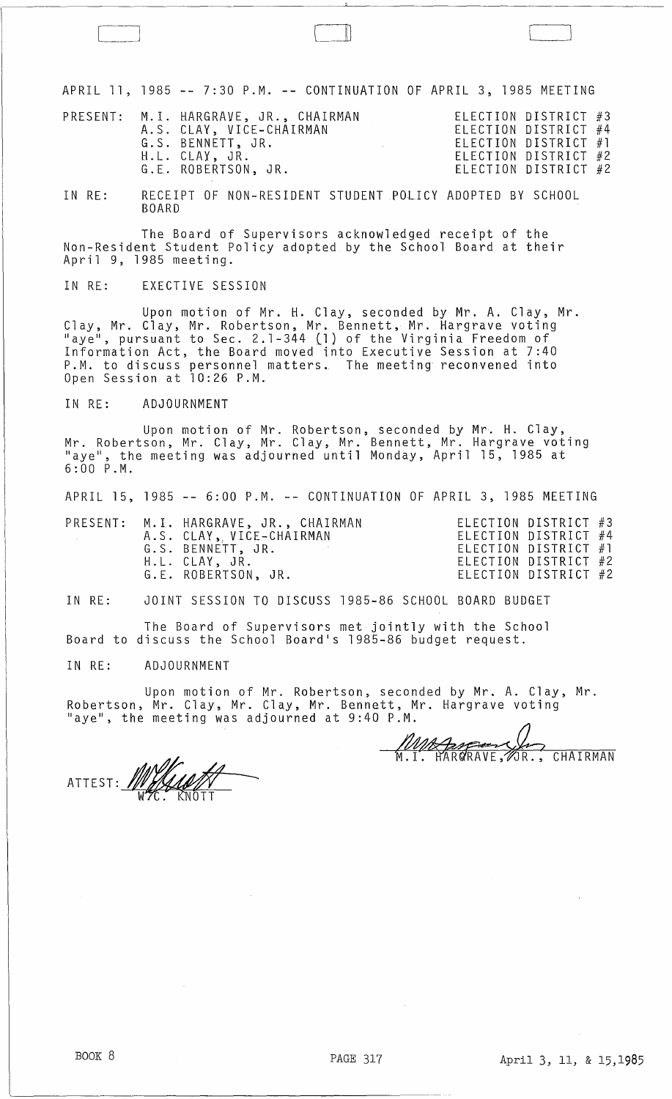APRIL 11, 1985 -- 7:30 P.M. -- CONTINUATION OF APRIL 3, 1985 MEETING

|  |  | PRESENT: M.I. HARGRAVE, JR., CHAIRMAN<br>A.S. CLAY, VICE-CHAIRMAN<br>G.S. BENNETT, JR.<br>H.L. CLAY, JR.<br>G.E. ROBERTSON, JR. |  | ELECTION DISTRICT $#3$<br>ELECTION DISTRICT #4<br>ELECTION DISTRICT #1<br>ELECTION DISTRICT #2<br>ELECTION DISTRICT #2 |  |
|--|--|---------------------------------------------------------------------------------------------------------------------------------|--|------------------------------------------------------------------------------------------------------------------------|--|
|--|--|---------------------------------------------------------------------------------------------------------------------------------|--|------------------------------------------------------------------------------------------------------------------------|--|

IN RE: RECEIPT OF NON-RESIDENT STUDENT POLICY ADOPTED BY SCHOOL BOARD

The Board of Supervisors acknowledged receipt of the Non-Resident Student Policy adopted by the School Board at their April 9, 1985 meeting.

IN RE: EXECTIVE SESSION

Upon motion of Mr. H. Clay, seconded by Mr. A. Clay, Mr. Clay, Mr. Clay, Mr. Robertson, Mr. Bennett, Mr. Hargrave voting "aye", pursuant to Sec. 2.1-344 (1) of the Virginia Freedom of Information Act, the Board moved into Executive Session at 7:40 P.M. to discuss personnel matters. The meeting reconvened into Open Session at 10:26 P.M.

IN RE: ADJOURNMENT

Upon motion of Mr. Robertson, seconded by Mr. H. Clay, Mr. Robertson, Mr. Clay, Mr. Clay, Mr. Bennett, Mr. Hargrave voting "aye", the meeting was adjourned until Monday, April 15, 1985 at 6:00 P.M.

APRIL 15, 1985 **--** 6:00 P . M .**--** CONTINUATION OF APRIL 3, 1985 MEETING

|  | PRESENT: M.I. HARGRAVE, JR., CHAIRMAN<br>A.S. CLAY, VICE-CHAIRMAN<br>G.S. BENNETT, JR.<br>H.L. CLAY, JR. | ELECTION DISTRICT #3<br>ELECTION DISTRICT #4<br>ELECTION DISTRICT $#1$<br>ELECTION DISTRICT #2 |  |
|--|----------------------------------------------------------------------------------------------------------|------------------------------------------------------------------------------------------------|--|
|  | G.E. ROBERTSON, JR.                                                                                      | ELECTION DISTRICT #2                                                                           |  |

IN RE: JOINT SESSION TO DISCUSS 1985-86 SCHOOL BOARD BUDGET

The Board of Supervisors met jointly with the School Board to discuss the School Board's 1985-86 budget request.

IN RE: ADJOURNMENT

Upon motion of Mr. Robertson, seconded by Mr. A. Clay, Mr. Upon motion of Mr. Robertson, seconded by Mr. A. Clay, Mr.<br>Robertson, Mr. Clay, Mr. Clay, Mr. Bennett, Mr. Hargrave voting<br>"aye", the meeting was adjourned at 9:40 P.M.<br>M.I. HARGRAVE, OR., CHAIRMAN "aye", the meeting was adjourned at 9:40 P.M.

 $WZC.$  KNOTT